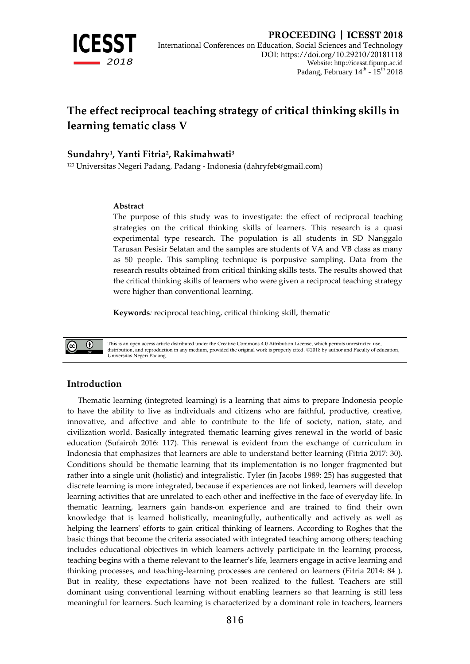

# **The effect reciprocal teaching strategy of critical thinking skills in learning tematic class V**

## **Sundahry<sup>1</sup> , Yanti Fitria<sup>2</sup> , Rakimahwati<sup>3</sup>**

<sup>123</sup> Universitas Negeri Padang, Padang - Indonesia [\(dahryfeb@gmail.com\)](mailto:dahryfeb@gmail.com)

#### **Abstract**

The purpose of this study was to investigate: the effect of reciprocal teaching strategies on the critical thinking skills of learners. This research is a quasi experimental type research. The population is all students in SD Nanggalo Tarusan Pesisir Selatan and the samples are students of VA and VB class as many as 50 people. This sampling technique is porpusive sampling. Data from the research results obtained from critical thinking skills tests. The results showed that the critical thinking skills of learners who were given a reciprocal teaching strategy were higher than conventional learning.

**Keywords***:* reciprocal teaching, critical thinking skill, thematic



This is an open access article distributed under the Creative Commons 4.0 Attribution License, which permits unrestricted use, distribution, and reproduction in any medium, provided the original work is properly cited. ©2018 by author and Faculty of education, Universitas Negeri Padang.

### **Introduction**

Thematic learning (integreted learning) is a learning that aims to prepare Indonesia people to have the ability to live as individuals and citizens who are faithful, productive, creative, innovative, and affective and able to contribute to the life of society, nation, state, and civilization world. Basically integrated thematic learning gives renewal in the world of basic education (Sufairoh 2016: 117). This renewal is evident from the exchange of curriculum in Indonesia that emphasizes that learners are able to understand better learning (Fitria 2017: 30). Conditions should be thematic learning that its implementation is no longer fragmented but rather into a single unit (holistic) and integralistic. Tyler (in Jacobs 1989: 25) has suggested that discrete learning is more integrated, because if experiences are not linked, learners will develop learning activities that are unrelated to each other and ineffective in the face of everyday life. In thematic learning, learners gain hands-on experience and are trained to find their own knowledge that is learned holistically, meaningfully, authentically and actively as well as helping the learners' efforts to gain critical thinking of learners. According to Roghes that the basic things that become the criteria associated with integrated teaching among others; teaching includes educational objectives in which learners actively participate in the learning process, teaching begins with a theme relevant to the learner's life, learners engage in active learning and thinking processes, and teaching-learning processes are centered on learners (Fitria 2014: 84 ). But in reality, these expectations have not been realized to the fullest. Teachers are still dominant using conventional learning without enabling learners so that learning is still less meaningful for learners. Such learning is characterized by a dominant role in teachers, learners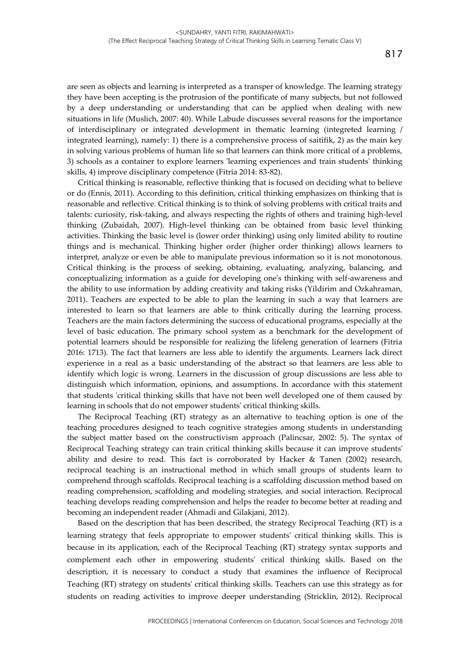are seen as objects and learning is interpreted as a transper of knowledge. The learning strategy they have been accepting is the protrusion of the pontificate of many subjects, but not followed by a deep understanding or understanding that can be applied when dealing with new situations in life (Muslich, 2007: 40). While Labude discusses several reasons for the importance of interdisciplinary or integrated development in thematic learning (integreted learning / integrated learning), namely: 1) there is a comprehensive process of saitifik, 2) as the main key in solving various problems of human life so that learners can think more critical of a problems, 3) schools as a container to explore learners 'learning experiences and train students' thinking skills, 4) improve disciplinary competence (Fitria 2014: 83-82).

Critical thinking is reasonable, reflective thinking that is focused on deciding what to believe or do (Ennis, 2011). According to this definition, critical thinking emphasizes on thinking that is reasonable and reflective. Critical thinking is to think of solving problems with critical traits and talents: curiosity, risk-taking, and always respecting the rights of others and training high-level thinking (Zubaidah, 2007). High-level thinking can be obtained from basic level thinking activities. Thinking the basic level is (lower order thinking) using only limited ability to routine things and is mechanical. Thinking higher order (higher order thinking) allows learners to interpret, analyze or even be able to manipulate previous information so it is not monotonous. Critical thinking is the process of seeking, obtaining, evaluating, analyzing, balancing, and conceptualizing information as a guide for developing one's thinking with self-awareness and the ability to use information by adding creativity and taking risks (Yildirim and Ozkahraman, 2011). Teachers are expected to be able to plan the learning in such a way that learners are interested to learn so that learners are able to think critically during the learning process. Teachers are the main factors determining the success of educational programs, especially at the level of basic education. The primary school system as a benchmark for the development of potential learners should be responsible for realizing the lifeleng generation of learners (Fitria 2016: 1713). The fact that learners are less able to identify the arguments. Learners lack direct experience in a real as a basic understanding of the abstract so that learners are less able to identify which logic is wrong. Learners in the discussion of group discussions are less able to distinguish which information, opinions, and assumptions. In accordance with this statement that students 'critical thinking skills that have not been well developed one of them caused by learning in schools that do not empower students' critical thinking skills.

The Reciprocal Teaching (RT) strategy as an alternative to teaching option is one of the teaching procedures designed to teach cognitive strategies among students in understanding the subject matter based on the constructivism approach (Palincsar, 2002: 5). The syntax of Reciprocal Teaching strategy can train critical thinking skills because it can improve students' ability and desire to read. This fact is corroborated by Hacker & Tanen (2002) research, reciprocal teaching is an instructional method in which small groups of students learn to comprehend through scaffolds. Reciprocal teaching is a scaffolding discussion method based on reading comprehension, scaffolding and modeling strategies, and social interaction. Reciprocal teaching develops reading comprehension and helps the reader to become better at reading and becoming an independent reader (Ahmadi and Gilakjani, 2012).

Based on the description that has been described, the strategy Reciprocal Teaching (RT) is a learning strategy that feels appropriate to empower students' critical thinking skills. This is because in its application, each of the Reciprocal Teaching (RT) strategy syntax supports and complement each other in empowering students' critical thinking skills. Based on the description, it is necessary to conduct a study that examines the influence of Reciprocal Teaching (RT) strategy on students' critical thinking skills. Teachers can use this strategy as for students on reading activities to improve deeper understanding (Stricklin, 2012). Reciprocal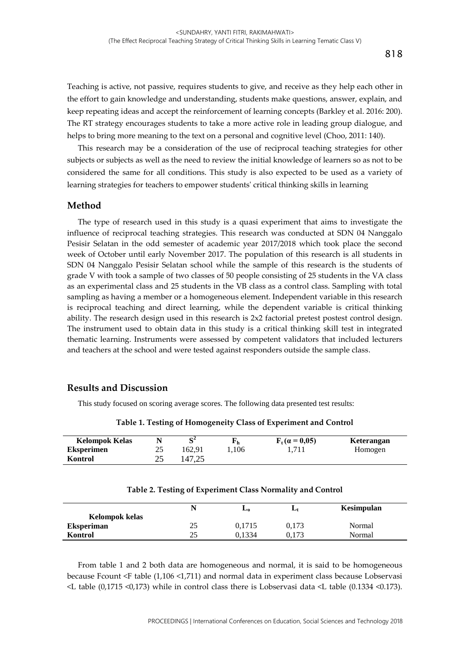Teaching is active, not passive, requires students to give, and receive as they help each other in the effort to gain knowledge and understanding, students make questions, answer, explain, and keep repeating ideas and accept the reinforcement of learning concepts (Barkley et al. 2016: 200). The RT strategy encourages students to take a more active role in leading group dialogue, and helps to bring more meaning to the text on a personal and cognitive level (Choo, 2011: 140).

This research may be a consideration of the use of reciprocal teaching strategies for other subjects or subjects as well as the need to review the initial knowledge of learners so as not to be considered the same for all conditions. This study is also expected to be used as a variety of learning strategies for teachers to empower students' critical thinking skills in learning

#### **Method**

The type of research used in this study is a quasi experiment that aims to investigate the influence of reciprocal teaching strategies. This research was conducted at SDN 04 Nanggalo Pesisir Selatan in the odd semester of academic year 2017/2018 which took place the second week of October until early November 2017. The population of this research is all students in SDN 04 Nanggalo Pesisir Selatan school while the sample of this research is the students of grade V with took a sample of two classes of 50 people consisting of 25 students in the VA class as an experimental class and 25 students in the VB class as a control class. Sampling with total sampling as having a member or a homogeneous element. Independent variable in this research is reciprocal teaching and direct learning, while the dependent variable is critical thinking ability. The research design used in this research is 2x2 factorial pretest postest control design. The instrument used to obtain data in this study is a critical thinking skill test in integrated thematic learning. Instruments were assessed by competent validators that included lecturers and teachers at the school and were tested against responders outside the sample class.

#### **Results and Discussion**

This study focused on scoring average scores. The following data presented test results:

| <b>Kelompok Kelas</b> |                |        | ւթ հ    | $F_t$ (a = 0,05) | Keterangan |
|-----------------------|----------------|--------|---------|------------------|------------|
| <b>Eksperimen</b>     |                | 162.91 | . . 106 |                  | Homogen    |
| Kontrol               | <u>، ، ، ،</u> | 147.25 |         |                  |            |

**Table 1. Testing of Homogeneity Class of Experiment and Control**

| 25 | 0,1715 | 0,173 | Normal |
|----|--------|-------|--------|
| 25 | 0.1334 | 0.173 | Normal |
|    |        |       |        |

**Table 2. Testing of Experiment Class Normality and Control**

From table 1 and 2 both data are homogeneous and normal, it is said to be homogeneous because Fcount <F table (1,106 <1,711) and normal data in experiment class because Lobservasi <L table (0,1715 <0,173) while in control class there is Lobservasi data <L table (0.1334 <0.173).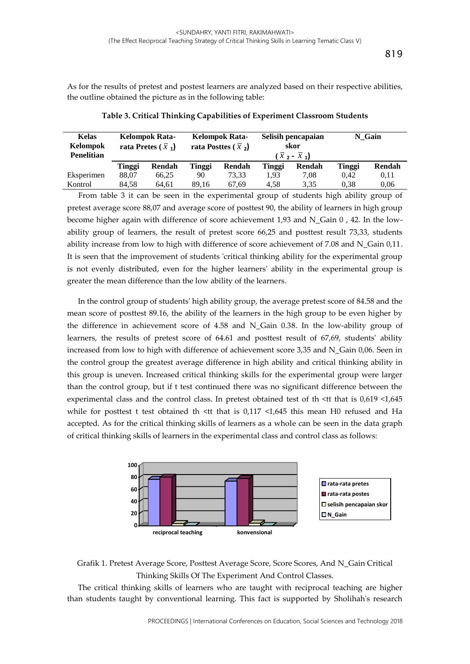As for the results of pretest and postest learners are analyzed based on their respective abilities, the outline obtained the picture as in the following table:

| <b>Kelas</b><br>Kelompok<br><b>Penelitian</b> | Kelompok Rata-<br>rata Pretes $(\bar{x}_1)$ |        | <b>Kelompok Rata-</b><br>rata Posttes $(\bar{x},)$ |        | Selisih pencapaian<br>skor<br>$(\overline{x}$ 2 - $\overline{x}$ 1) |        | N Gain |        |
|-----------------------------------------------|---------------------------------------------|--------|----------------------------------------------------|--------|---------------------------------------------------------------------|--------|--------|--------|
|                                               | Tinggi                                      | Rendah | Tinggi                                             | Rendah | Tinggi                                                              | Rendah | Tinggi | Rendah |
| Eksperimen                                    | 88.07                                       | 66.25  | 90                                                 | 73.33  | 1.93                                                                | 7.08   | 0.42   | 0,11   |
| Kontrol                                       | 84.58                                       | 64.61  | 89.16                                              | 67.69  | 4.58                                                                | 3.35   | 0.38   | 0.06   |

**Table 3. Critical Thinking Capabilities of Experiment Classroom Students**

From table 3 it can be seen in the experimental group of students high ability group of pretest average score 88,07 and average score of posttest 90, the ability of learners in high group become higher again with difference of score achievement 1,93 and N\_Gain 0 , 42. In the lowability group of learners, the result of pretest score 66,25 and posttest result 73,33, students ability increase from low to high with difference of score achievement of 7.08 and N\_Gain 0,11. It is seen that the improvement of students 'critical thinking ability for the experimental group is not evenly distributed, even for the higher learners' ability in the experimental group is greater the mean difference than the low ability of the learners.

In the control group of students' high ability group, the average pretest score of 84.58 and the mean score of posttest 89.16, the ability of the learners in the high group to be even higher by the difference in achievement score of 4.58 and N\_Gain 0.38. In the low-ability group of learners, the results of pretest score of 64.61 and posttest result of 67,69, students' ability increased from low to high with difference of achievement score 3,35 and N\_Gain 0,06. Seen in the control group the greatest average difference in high ability and critical thinking ability in this group is uneven. Increased critical thinking skills for the experimental group were larger than the control group, but if t test continued there was no significant difference between the experimental class and the control class. In pretest obtained test of th <tt that is 0,619 <1,645 while for posttest t test obtained th <tt that is  $0.117 < 1.645$  this mean H0 refused and Ha accepted. As for the critical thinking skills of learners as a whole can be seen in the data graph of critical thinking skills of learners in the experimental class and control class as follows:



Grafik 1. Pretest Average Score, Posttest Average Score, Score Scores, And N\_Gain Critical Thinking Skills Of The Experiment And Control Classes.

The critical thinking skills of learners who are taught with reciprocal teaching are higher than students taught by conventional learning. This fact is supported by Sholihah's research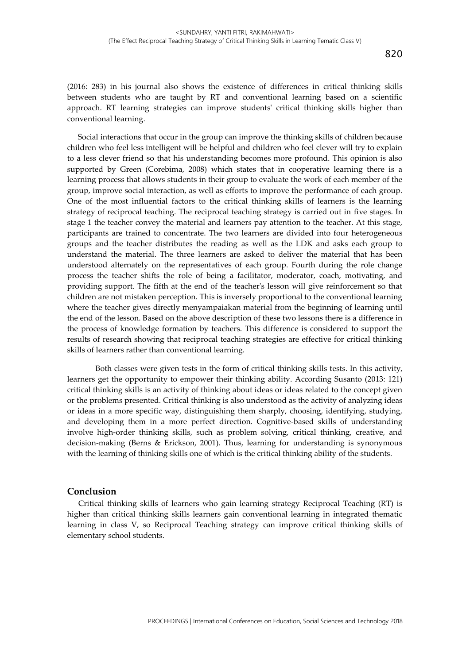(2016: 283) in his journal also shows the existence of differences in critical thinking skills between students who are taught by RT and conventional learning based on a scientific approach. RT learning strategies can improve students' critical thinking skills higher than conventional learning.

Social interactions that occur in the group can improve the thinking skills of children because children who feel less intelligent will be helpful and children who feel clever will try to explain to a less clever friend so that his understanding becomes more profound. This opinion is also supported by Green (Corebima, 2008) which states that in cooperative learning there is a learning process that allows students in their group to evaluate the work of each member of the group, improve social interaction, as well as efforts to improve the performance of each group. One of the most influential factors to the critical thinking skills of learners is the learning strategy of reciprocal teaching. The reciprocal teaching strategy is carried out in five stages. In stage 1 the teacher convey the material and learners pay attention to the teacher. At this stage, participants are trained to concentrate. The two learners are divided into four heterogeneous groups and the teacher distributes the reading as well as the LDK and asks each group to understand the material. The three learners are asked to deliver the material that has been understood alternately on the representatives of each group. Fourth during the role change process the teacher shifts the role of being a facilitator, moderator, coach, motivating, and providing support. The fifth at the end of the teacher's lesson will give reinforcement so that children are not mistaken perception. This is inversely proportional to the conventional learning where the teacher gives directly menyampaiakan material from the beginning of learning until the end of the lesson. Based on the above description of these two lessons there is a difference in the process of knowledge formation by teachers. This difference is considered to support the results of research showing that reciprocal teaching strategies are effective for critical thinking skills of learners rather than conventional learning.

Both classes were given tests in the form of critical thinking skills tests. In this activity, learners get the opportunity to empower their thinking ability. According Susanto (2013: 121) critical thinking skills is an activity of thinking about ideas or ideas related to the concept given or the problems presented. Critical thinking is also understood as the activity of analyzing ideas or ideas in a more specific way, distinguishing them sharply, choosing, identifying, studying, and developing them in a more perfect direction. Cognitive-based skills of understanding involve high-order thinking skills, such as problem solving, critical thinking, creative, and decision-making (Berns & Erickson, 2001). Thus, learning for understanding is synonymous with the learning of thinking skills one of which is the critical thinking ability of the students.

#### **Conclusion**

Critical thinking skills of learners who gain learning strategy Reciprocal Teaching (RT) is higher than critical thinking skills learners gain conventional learning in integrated thematic learning in class V, so Reciprocal Teaching strategy can improve critical thinking skills of elementary school students.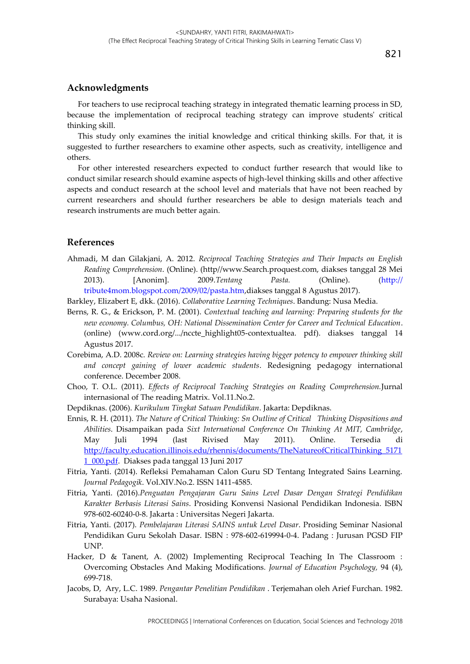## **Acknowledgments**

For teachers to use reciprocal teaching strategy in integrated thematic learning process in SD, because the implementation of reciprocal teaching strategy can improve students' critical thinking skill.

This study only examines the initial knowledge and critical thinking skills. For that, it is suggested to further researchers to examine other aspects, such as creativity, intelligence and others.

For other interested researchers expected to conduct further research that would like to conduct similar research should examine aspects of high-level thinking skills and other affective aspects and conduct research at the school level and materials that have not been reached by current researchers and should further researchers be able to design materials teach and research instruments are much better again.

## **References**

Ahmadi, M dan Gilakjani, A. 2012. *Reciprocal Teaching Strategies and Their Impacts on English Reading Comprehension*. (Online). (http//www.Search.proquest.com, diakses tanggal 28 Mei 2013). [Anonim]. 2009.*Tentang Pasta.* (Online). (http:// tribute4mom.blogspot.com/2009/02/pasta.htm,diakses tanggal 8 Agustus 2017).

Barkley, Elizabert E, dkk. (2016). *Collaborative Learning Techniques*. Bandung: Nusa Media.

- Berns, R. G., & Erickson, P. M. (2001). *Contextual teaching and learning: Preparing students for the new economy. Columbus, OH: National Dissemination Center for Career and Technical Education*. (online) (www.cord.org/.../nccte\_highlight05-contextualtea. pdf). diakses tanggal 14 Agustus 2017.
- Corebima, A.D. 2008c. *Review on: Learning strategies having bigger potency to empower thinking skill and concept gaining of lower academic students*. Redesigning pedagogy international conference. December 2008.
- Choo, T. O.L. (2011). *Effects of Reciprocal Teaching Strategies on Reading Comprehension.*Jurnal internasional of The reading Matrix. Vol.11.No.2.
- Depdiknas. (2006). *Kurikulum Tingkat Satuan Pendidikan*. Jakarta: Depdiknas.
- Ennis, R. H. (2011). *The Nature of Critical Thinking: Sn Outline of Critical Thinking Dispositions and Abilities*. Disampaikan pada *Sixt International Conference On Thinking At MIT, Cambridge*, May Juli 1994 (last Rivised May 2011). Online. Tersedia di [http://faculty.education.illinois.edu/rhennis/documents/TheNatureofCriticalThinking\\_5171](http://faculty.education.illinois.edu/rhennis/documents/TheNatureofCriticalThinking_51711_000.pdf) [1\\_000.pdf.](http://faculty.education.illinois.edu/rhennis/documents/TheNatureofCriticalThinking_51711_000.pdf) Diakses pada tanggal 13 Juni 2017
- Fitria, Yanti. (2014). Refleksi Pemahaman Calon Guru SD Tentang Integrated Sains Learning. *Journal Pedagogik*. Vol.XIV.No.2. ISSN 1411-4585.
- Fitria, Yanti. (2016).*Penguatan Pengajaran Guru Sains Level Dasar Dengan Strategi Pendidikan Karakter Berbasis Literasi Sains*. Prosiding Konvensi Nasional Pendidikan Indonesia. ISBN 978-602-60240-0-8. Jakarta : Universitas Negeri Jakarta.
- Fitria, Yanti. (2017). *Pembelajaran Literasi SAINS untuk Level Dasar*. Prosiding Seminar Nasional Pendidikan Guru Sekolah Dasar. ISBN : 978-602-619994-0-4. Padang : Jurusan PGSD FIP UNP.
- Hacker, D & Tanent, A. (2002) Implementing Reciprocal Teaching In The Classroom : Overcoming Obstacles And Making Modifications*. Journal of Education Psychology,* 94 (4), 699-718.
- Jacobs, D, Ary, L.C. 1989. *Pengantar Penelitian Pendidikan* . Terjemahan oleh Arief Furchan. 1982. Surabaya: Usaha Nasional.